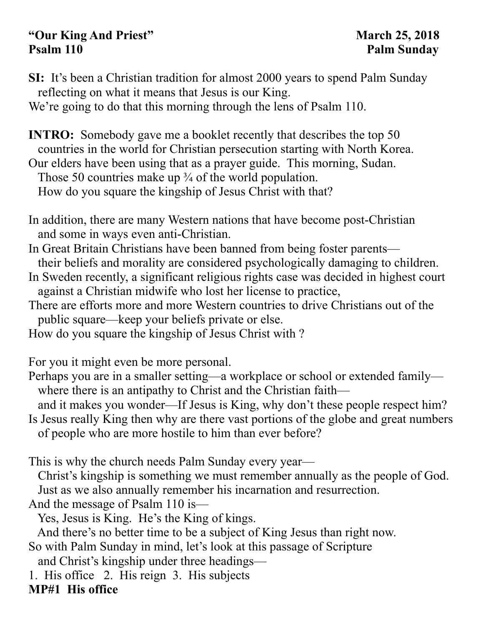## **"Our King And Priest" March 25, 2018**  Psalm 110 Palm Sunday

**SI:** It's been a Christian tradition for almost 2000 years to spend Palm Sunday reflecting on what it means that Jesus is our King.

We're going to do that this morning through the lens of Psalm 110.

**INTRO:** Somebody gave me a booklet recently that describes the top 50 countries in the world for Christian persecution starting with North Korea. Our elders have been using that as a prayer guide. This morning, Sudan. Those 50 countries make up  $\frac{3}{4}$  of the world population. How do you square the kingship of Jesus Christ with that?

In addition, there are many Western nations that have become post-Christian and some in ways even anti-Christian.

In Great Britain Christians have been banned from being foster parents their beliefs and morality are considered psychologically damaging to children. In Sweden recently, a significant religious rights case was decided in highest court

against a Christian midwife who lost her license to practice,

There are efforts more and more Western countries to drive Christians out of the public square—keep your beliefs private or else.

How do you square the kingship of Jesus Christ with ?

For you it might even be more personal.

Perhaps you are in a smaller setting—a workplace or school or extended family where there is an antipathy to Christ and the Christian faith—

 and it makes you wonder—If Jesus is King, why don't these people respect him? Is Jesus really King then why are there vast portions of the globe and great numbers of people who are more hostile to him than ever before?

This is why the church needs Palm Sunday every year—

 Christ's kingship is something we must remember annually as the people of God. Just as we also annually remember his incarnation and resurrection.

And the message of Psalm 110 is—

Yes, Jesus is King. He's the King of kings.

And there's no better time to be a subject of King Jesus than right now.

So with Palm Sunday in mind, let's look at this passage of Scripture

and Christ's kingship under three headings—

1. His office 2. His reign 3. His subjects

**MP#1 His office**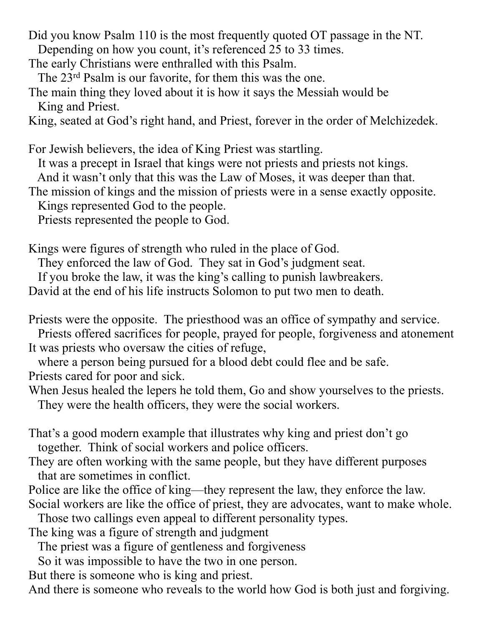Did you know Psalm 110 is the most frequently quoted OT passage in the NT. Depending on how you count, it's referenced 25 to 33 times.

- The early Christians were enthralled with this Psalm.
- The 23rd Psalm is our favorite, for them this was the one.
- The main thing they loved about it is how it says the Messiah would be King and Priest.

King, seated at God's right hand, and Priest, forever in the order of Melchizedek.

For Jewish believers, the idea of King Priest was startling. It was a precept in Israel that kings were not priests and priests not kings. And it wasn't only that this was the Law of Moses, it was deeper than that. The mission of kings and the mission of priests were in a sense exactly opposite. Kings represented God to the people. Priests represented the people to God.

Kings were figures of strength who ruled in the place of God.

They enforced the law of God. They sat in God's judgment seat.

If you broke the law, it was the king's calling to punish lawbreakers.

David at the end of his life instructs Solomon to put two men to death.

Priests were the opposite. The priesthood was an office of sympathy and service.

 Priests offered sacrifices for people, prayed for people, forgiveness and atonement It was priests who oversaw the cities of refuge,

 where a person being pursued for a blood debt could flee and be safe. Priests cared for poor and sick.

When Jesus healed the lepers he told them, Go and show yourselves to the priests. They were the health officers, they were the social workers.

That's a good modern example that illustrates why king and priest don't go together. Think of social workers and police officers.

- They are often working with the same people, but they have different purposes that are sometimes in conflict.
- Police are like the office of king—they represent the law, they enforce the law. Social workers are like the office of priest, they are advocates, want to make whole.

Those two callings even appeal to different personality types.

The king was a figure of strength and judgment

The priest was a figure of gentleness and forgiveness

So it was impossible to have the two in one person.

But there is someone who is king and priest.

And there is someone who reveals to the world how God is both just and forgiving.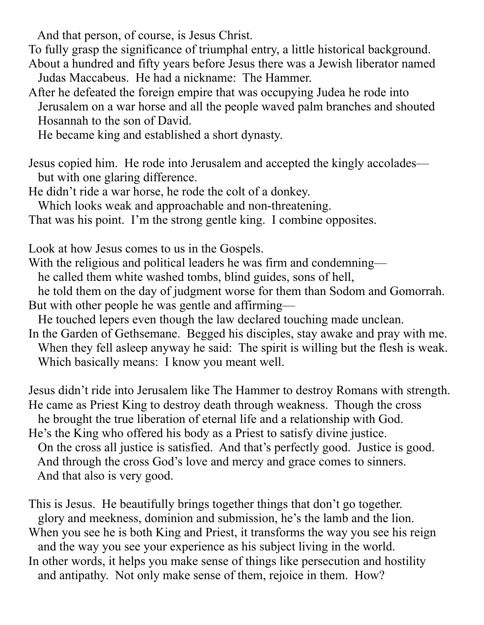And that person, of course, is Jesus Christ.

To fully grasp the significance of triumphal entry, a little historical background.

About a hundred and fifty years before Jesus there was a Jewish liberator named Judas Maccabeus. He had a nickname: The Hammer.

After he defeated the foreign empire that was occupying Judea he rode into Jerusalem on a war horse and all the people waved palm branches and shouted Hosannah to the son of David.

He became king and established a short dynasty.

Jesus copied him. He rode into Jerusalem and accepted the kingly accolades but with one glaring difference.

He didn't ride a war horse, he rode the colt of a donkey.

Which looks weak and approachable and non-threatening.

That was his point. I'm the strong gentle king. I combine opposites.

Look at how Jesus comes to us in the Gospels.

With the religious and political leaders he was firm and condemning—

he called them white washed tombs, blind guides, sons of hell,

 he told them on the day of judgment worse for them than Sodom and Gomorrah. But with other people he was gentle and affirming—

He touched lepers even though the law declared touching made unclean.

In the Garden of Gethsemane. Begged his disciples, stay awake and pray with me. When they fell asleep anyway he said: The spirit is willing but the flesh is weak. Which basically means: I know you meant well.

Jesus didn't ride into Jerusalem like The Hammer to destroy Romans with strength. He came as Priest King to destroy death through weakness. Though the cross he brought the true liberation of eternal life and a relationship with God. He's the King who offered his body as a Priest to satisfy divine justice. On the cross all justice is satisfied. And that's perfectly good. Justice is good.

 And through the cross God's love and mercy and grace comes to sinners. And that also is very good.

This is Jesus. He beautifully brings together things that don't go together. glory and meekness, dominion and submission, he's the lamb and the lion. When you see he is both King and Priest, it transforms the way you see his reign and the way you see your experience as his subject living in the world. In other words, it helps you make sense of things like persecution and hostility and antipathy. Not only make sense of them, rejoice in them. How?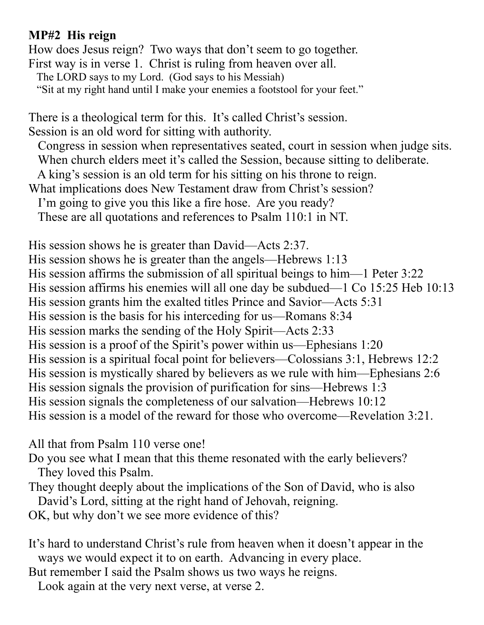## **MP#2 His reign**

How does Jesus reign? Two ways that don't seem to go together. First way is in verse 1. Christ is ruling from heaven over all. The LORD says to my Lord. (God says to his Messiah) "Sit at my right hand until I make your enemies a footstool for your feet."

There is a theological term for this. It's called Christ's session. Session is an old word for sitting with authority.

 Congress in session when representatives seated, court in session when judge sits. When church elders meet it's called the Session, because sitting to deliberate.

A king's session is an old term for his sitting on his throne to reign.

What implications does New Testament draw from Christ's session?

I'm going to give you this like a fire hose. Are you ready?

These are all quotations and references to Psalm 110:1 in NT.

His session shows he is greater than David—Acts 2:37. His session shows he is greater than the angels—Hebrews 1:13 His session affirms the submission of all spiritual beings to him—1 Peter 3:22 His session affirms his enemies will all one day be subdued—1 Co 15:25 Heb 10:13 His session grants him the exalted titles Prince and Savior—Acts 5:31 His session is the basis for his interceding for us—Romans 8:34 His session marks the sending of the Holy Spirit—Acts 2:33 His session is a proof of the Spirit's power within us—Ephesians 1:20 His session is a spiritual focal point for believers—Colossians 3:1, Hebrews 12:2 His session is mystically shared by believers as we rule with him—Ephesians 2:6 His session signals the provision of purification for sins—Hebrews 1:3 His session signals the completeness of our salvation—Hebrews 10:12 His session is a model of the reward for those who overcome—Revelation 3:21.

All that from Psalm 110 verse one!

Do you see what I mean that this theme resonated with the early believers? They loved this Psalm.

They thought deeply about the implications of the Son of David, who is also David's Lord, sitting at the right hand of Jehovah, reigning.

OK, but why don't we see more evidence of this?

It's hard to understand Christ's rule from heaven when it doesn't appear in the ways we would expect it to on earth. Advancing in every place.

But remember I said the Psalm shows us two ways he reigns.

Look again at the very next verse, at verse 2.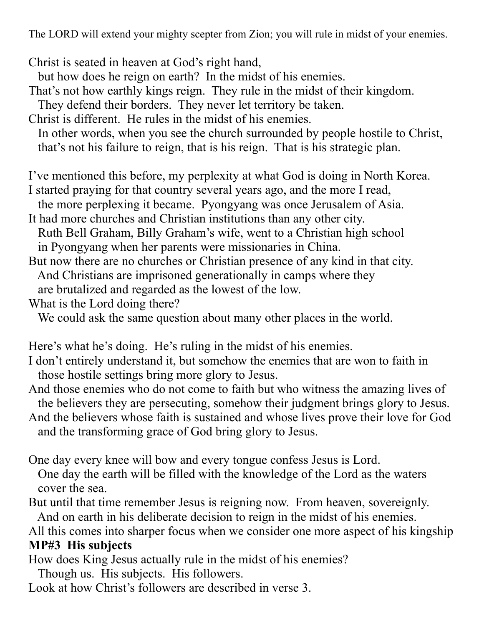The LORD will extend your mighty scepter from Zion; you will rule in midst of your enemies.

Christ is seated in heaven at God's right hand,

- but how does he reign on earth? In the midst of his enemies.
- That's not how earthly kings reign. They rule in the midst of their kingdom.

They defend their borders. They never let territory be taken.

Christ is different. He rules in the midst of his enemies.

 In other words, when you see the church surrounded by people hostile to Christ, that's not his failure to reign, that is his reign. That is his strategic plan.

I've mentioned this before, my perplexity at what God is doing in North Korea.

I started praying for that country several years ago, and the more I read,

the more perplexing it became. Pyongyang was once Jerusalem of Asia.

It had more churches and Christian institutions than any other city.

 Ruth Bell Graham, Billy Graham's wife, went to a Christian high school in Pyongyang when her parents were missionaries in China.

But now there are no churches or Christian presence of any kind in that city. And Christians are imprisoned generationally in camps where they are brutalized and regarded as the lowest of the low.

What is the Lord doing there?

We could ask the same question about many other places in the world.

Here's what he's doing. He's ruling in the midst of his enemies.

I don't entirely understand it, but somehow the enemies that are won to faith in those hostile settings bring more glory to Jesus.

And those enemies who do not come to faith but who witness the amazing lives of the believers they are persecuting, somehow their judgment brings glory to Jesus.

And the believers whose faith is sustained and whose lives prove their love for God and the transforming grace of God bring glory to Jesus.

One day every knee will bow and every tongue confess Jesus is Lord. One day the earth will be filled with the knowledge of the Lord as the waters cover the sea.

But until that time remember Jesus is reigning now. From heaven, sovereignly. And on earth in his deliberate decision to reign in the midst of his enemies.

All this comes into sharper focus when we consider one more aspect of his kingship **MP#3 His subjects** 

How does King Jesus actually rule in the midst of his enemies?

Though us. His subjects. His followers.

Look at how Christ's followers are described in verse 3.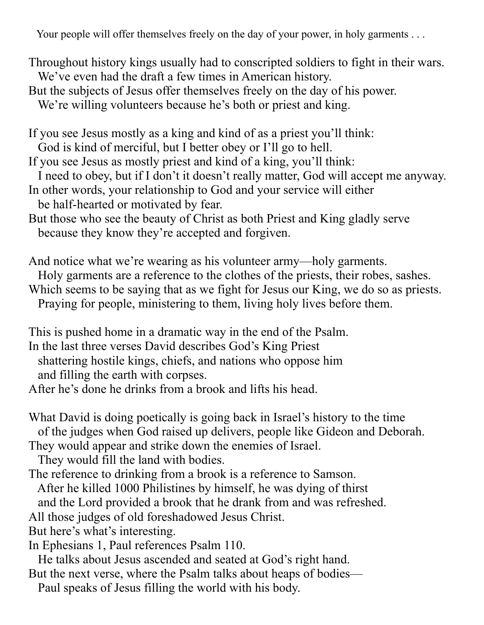Your people will offer themselves freely on the day of your power, in holy garments . . .

Throughout history kings usually had to conscripted soldiers to fight in their wars. We've even had the draft a few times in American history.

But the subjects of Jesus offer themselves freely on the day of his power.

We're willing volunteers because he's both or priest and king.

If you see Jesus mostly as a king and kind of as a priest you'll think:

God is kind of merciful, but I better obey or I'll go to hell.

If you see Jesus as mostly priest and kind of a king, you'll think:

I need to obey, but if I don't it doesn't really matter, God will accept me anyway.

In other words, your relationship to God and your service will either

be half-hearted or motivated by fear.

But those who see the beauty of Christ as both Priest and King gladly serve because they know they're accepted and forgiven.

And notice what we're wearing as his volunteer army—holy garments. Holy garments are a reference to the clothes of the priests, their robes, sashes. Which seems to be saying that as we fight for Jesus our King, we do so as priests.

Praying for people, ministering to them, living holy lives before them.

This is pushed home in a dramatic way in the end of the Psalm.

In the last three verses David describes God's King Priest

 shattering hostile kings, chiefs, and nations who oppose him and filling the earth with corpses.

After he's done he drinks from a brook and lifts his head.

What David is doing poetically is going back in Israel's history to the time of the judges when God raised up delivers, people like Gideon and Deborah.

They would appear and strike down the enemies of Israel.

They would fill the land with bodies.

The reference to drinking from a brook is a reference to Samson.

After he killed 1000 Philistines by himself, he was dying of thirst

and the Lord provided a brook that he drank from and was refreshed.

All those judges of old foreshadowed Jesus Christ.

But here's what's interesting.

In Ephesians 1, Paul references Psalm 110.

He talks about Jesus ascended and seated at God's right hand.

But the next verse, where the Psalm talks about heaps of bodies—

Paul speaks of Jesus filling the world with his body.